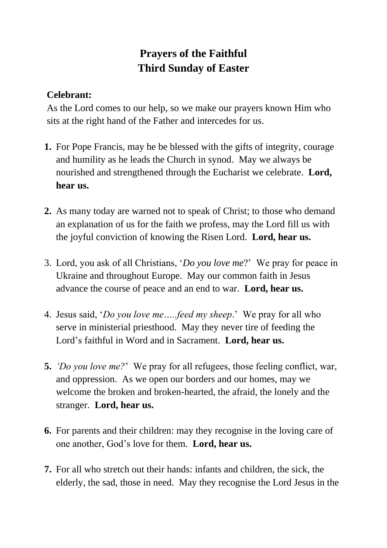## **Prayers of the Faithful Third Sunday of Easter**

## **Celebrant:**

As the Lord comes to our help, so we make our prayers known Him who sits at the right hand of the Father and intercedes for us.

- **1.** For Pope Francis, may he be blessed with the gifts of integrity, courage and humility as he leads the Church in synod. May we always be nourished and strengthened through the Eucharist we celebrate. **Lord, hear us.**
- **2.** As many today are warned not to speak of Christ; to those who demand an explanation of us for the faith we profess, may the Lord fill us with the joyful conviction of knowing the Risen Lord. **Lord, hear us.**
- 3. Lord, you ask of all Christians, '*Do you love me*?' We pray for peace in Ukraine and throughout Europe. May our common faith in Jesus advance the course of peace and an end to war. **Lord, hear us.**
- 4. Jesus said, '*Do you love me…..feed my sheep*.' We pray for all who serve in ministerial priesthood. May they never tire of feeding the Lord's faithful in Word and in Sacrament. **Lord, hear us.**
- **5.** *'Do you love me?*' We pray for all refugees, those feeling conflict, war, and oppression. As we open our borders and our homes, may we welcome the broken and broken-hearted, the afraid, the lonely and the stranger. **Lord, hear us.**
- **6.** For parents and their children: may they recognise in the loving care of one another, God's love for them. **Lord, hear us.**
- **7.** For all who stretch out their hands: infants and children, the sick, the elderly, the sad, those in need. May they recognise the Lord Jesus in the